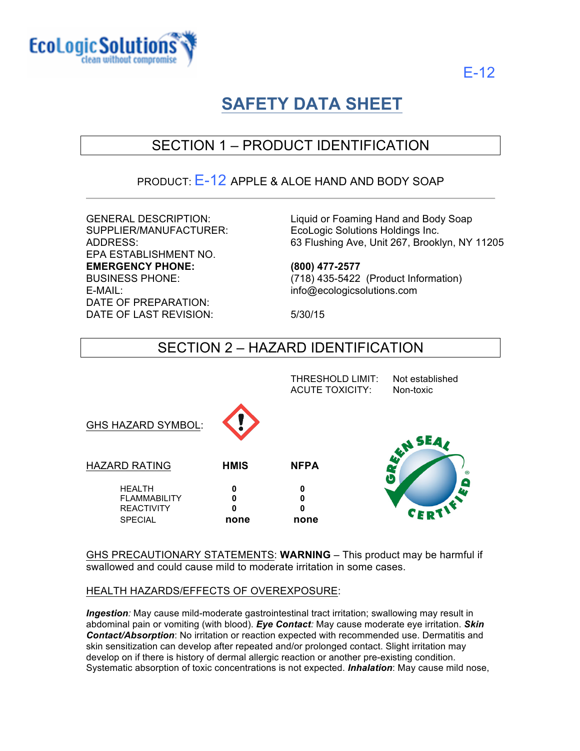



# **SAFETY DATA SHEET**

# SECTION 1 – PRODUCT IDENTIFICATION

### PRODUCT: E-12 APPLE & ALOE HAND AND BODY SOAP

EPA ESTABLISHMENT NO. **EMERGENCY PHONE: (800) 477-2577** E-MAIL: info@ecologicsolutions.com DATE OF PREPARATION: DATE OF LAST REVISION: 5/30/15

GENERAL DESCRIPTION: Liquid or Foaming Hand and Body Soap SUPPLIER/MANUFACTURER: EcoLogic Solutions Holdings Inc. ADDRESS: 63 Flushing Ave, Unit 267, Brooklyn, NY 11205

BUSINESS PHONE: (718) 435-5422 (Product Information)

# SECTION 2 – HAZARD IDENTIFICATION

|             | THRESHOLD LIMIT:<br><b>ACUTE TOXICITY:</b> | Not established<br>Non-toxic                                                                                                                                                                                                                                                                                                                                                            |
|-------------|--------------------------------------------|-----------------------------------------------------------------------------------------------------------------------------------------------------------------------------------------------------------------------------------------------------------------------------------------------------------------------------------------------------------------------------------------|
|             |                                            | <b>ENTITLE</b>                                                                                                                                                                                                                                                                                                                                                                          |
| <b>HMIS</b> | <b>NFPA</b>                                | υ                                                                                                                                                                                                                                                                                                                                                                                       |
| 0<br>0<br>0 | 0<br>0<br>0                                | <u>( – </u><br><b>ALL</b><br>$\begin{picture}(180,10) \put(0,0){\line(1,0){15}} \put(10,0){\line(1,0){15}} \put(10,0){\line(1,0){15}} \put(10,0){\line(1,0){15}} \put(10,0){\line(1,0){15}} \put(10,0){\line(1,0){15}} \put(10,0){\line(1,0){15}} \put(10,0){\line(1,0){15}} \put(10,0){\line(1,0){15}} \put(10,0){\line(1,0){15}} \put(10,0){\line(1,0){15}} \put(10,0){\line($<br>CEI |
|             |                                            | none<br>none                                                                                                                                                                                                                                                                                                                                                                            |

GHS PRECAUTIONARY STATEMENTS: **WARNING** – This product may be harmful if swallowed and could cause mild to moderate irritation in some cases.

#### HEALTH HAZARDS/EFFECTS OF OVEREXPOSURE:

*Ingestion:* May cause mild-moderate gastrointestinal tract irritation; swallowing may result in abdominal pain or vomiting (with blood). *Eye Contact:* May cause moderate eye irritation. *Skin Contact/Absorption*: No irritation or reaction expected with recommended use. Dermatitis and skin sensitization can develop after repeated and/or prolonged contact. Slight irritation may develop on if there is history of dermal allergic reaction or another pre-existing condition. Systematic absorption of toxic concentrations is not expected. *Inhalation*: May cause mild nose,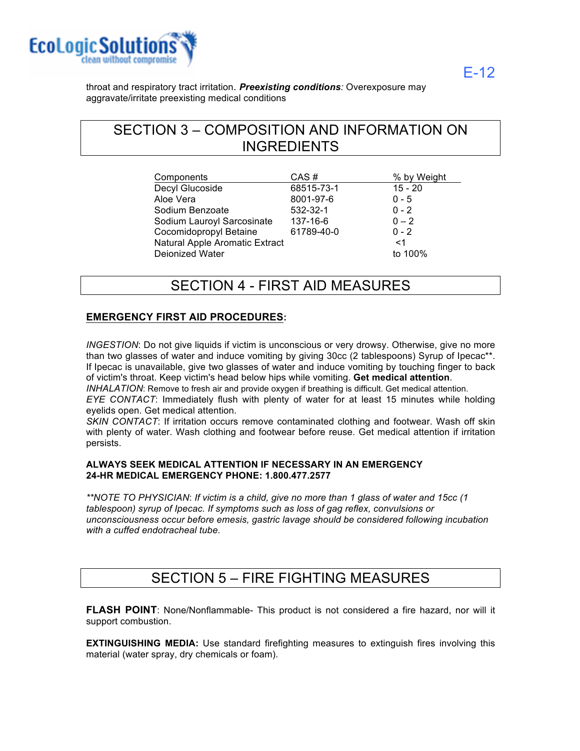

E-12

throat and respiratory tract irritation. *Preexisting conditions:* Overexposure may aggravate/irritate preexisting medical conditions

# SECTION 3 – COMPOSITION AND INFORMATION ON INGREDIENTS

| Components                     | CAS#       | % by Weight |
|--------------------------------|------------|-------------|
| Decyl Glucoside                | 68515-73-1 | $15 - 20$   |
| Aloe Vera                      | 8001-97-6  | $0 - 5$     |
| Sodium Benzoate                | 532-32-1   | $0 - 2$     |
| Sodium Lauroyl Sarcosinate     | 137-16-6   | $0 - 2$     |
| Cocomidopropyl Betaine         | 61789-40-0 | $0 - 2$     |
| Natural Apple Aromatic Extract |            | $<$ 1       |
| Deionized Water                |            | to 100%     |

### SECTION 4 - FIRST AID MEASURES

#### **EMERGENCY FIRST AID PROCEDURES:**

*INGESTION*: Do not give liquids if victim is unconscious or very drowsy. Otherwise, give no more than two glasses of water and induce vomiting by giving 30cc (2 tablespoons) Syrup of Ipecac\*\*. If Ipecac is unavailable, give two glasses of water and induce vomiting by touching finger to back of victim's throat. Keep victim's head below hips while vomiting. **Get medical attention**. *INHALATION*: Remove to fresh air and provide oxygen if breathing is difficult. Get medical attention.

*EYE CONTACT*: Immediately flush with plenty of water for at least 15 minutes while holding eyelids open. Get medical attention.

*SKIN CONTACT*: If irritation occurs remove contaminated clothing and footwear. Wash off skin with plenty of water. Wash clothing and footwear before reuse. Get medical attention if irritation persists.

#### **ALWAYS SEEK MEDICAL ATTENTION IF NECESSARY IN AN EMERGENCY 24-HR MEDICAL EMERGENCY PHONE: 1.800.477.2577**

*\*\*NOTE TO PHYSICIAN*: *If victim is a child, give no more than 1 glass of water and 15cc (1 tablespoon) syrup of Ipecac. If symptoms such as loss of gag reflex, convulsions or unconsciousness occur before emesis, gastric lavage should be considered following incubation with a cuffed endotracheal tube*.

### SECTION 5 – FIRE FIGHTING MEASURES

**FLASH POINT**: None/Nonflammable- This product is not considered a fire hazard, nor will it support combustion.

**EXTINGUISHING MEDIA:** Use standard firefighting measures to extinguish fires involving this material (water spray, dry chemicals or foam).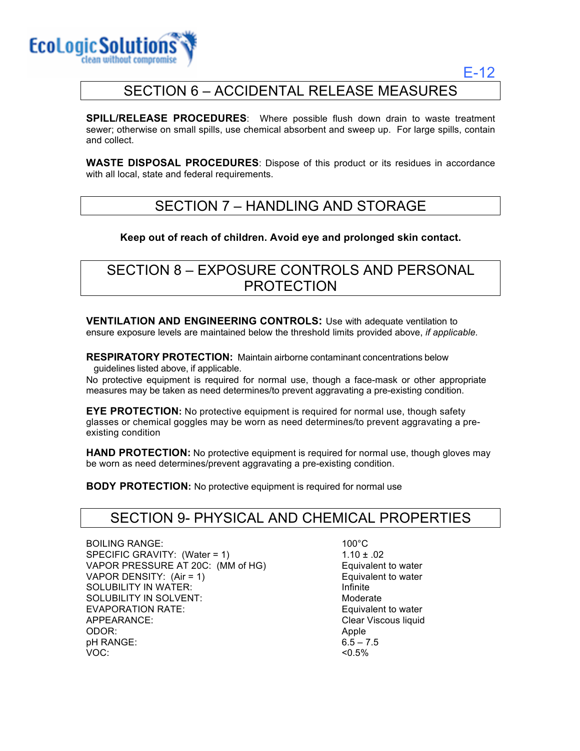

E-12

# SECTION 6 – ACCIDENTAL RELEASE MEASURES

**SPILL/RELEASE PROCEDURES**: Where possible flush down drain to waste treatment sewer; otherwise on small spills, use chemical absorbent and sweep up. For large spills, contain and collect.

**WASTE DISPOSAL PROCEDURES**: Dispose of this product or its residues in accordance with all local, state and federal requirements.

### SECTION 7 – HANDLING AND STORAGE

#### **Keep out of reach of children. Avoid eye and prolonged skin contact.**

### SECTION 8 – EXPOSURE CONTROLS AND PERSONAL PROTECTION

**VENTILATION AND ENGINEERING CONTROLS:** Use with adequate ventilation to ensure exposure levels are maintained below the threshold limits provided above, *if applicable.*

**RESPIRATORY PROTECTION:** Maintain airborne contaminant concentrations below guidelines listed above, if applicable.

No protective equipment is required for normal use, though a face-mask or other appropriate measures may be taken as need determines/to prevent aggravating a pre-existing condition.

**EYE PROTECTION:** No protective equipment is required for normal use, though safety glasses or chemical goggles may be worn as need determines/to prevent aggravating a preexisting condition

**HAND PROTECTION:** No protective equipment is required for normal use, though gloves may be worn as need determines/prevent aggravating a pre-existing condition.

**BODY PROTECTION:** No protective equipment is required for normal use

### SECTION 9- PHYSICAL AND CHEMICAL PROPERTIES

BOILING RANGE: 100°C SPECIFIC GRAVITY:  $(Water = 1)$  1.10 ± .02 VAPOR PRESSURE AT 20C: (MM of HG) Equivalent to water VAPOR DENSITY: (Air = 1) Equivalent to water SOLUBILITY IN WATER: Infinite SOLUBILITY IN SOLVENT: The Moderate Moderate EVAPORATION RATE: Example of the state of the equivalent to water APPEARANCE: Clear Viscous liquid ODOR: Apple pH RANGE: VOC:

 $6.5 - 7.5$  $< 0.5\%$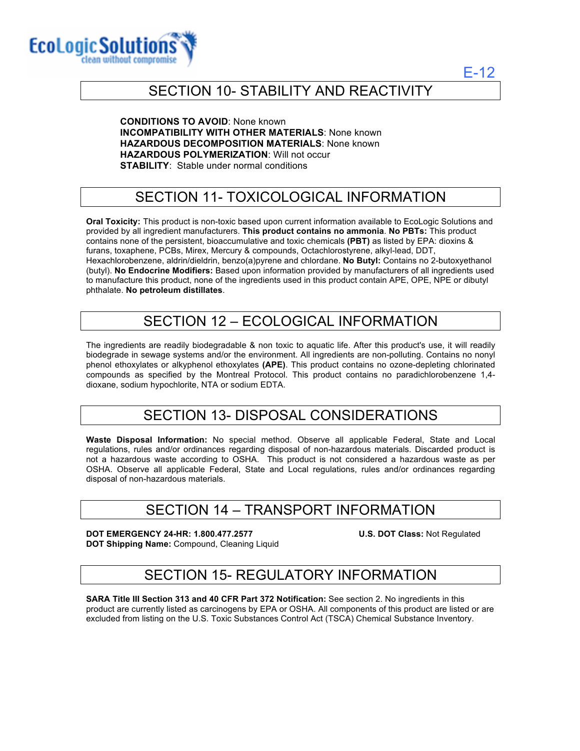

E-12

### SECTION 10- STABILITY AND REACTIVITY

**CONDITIONS TO AVOID**: None known **INCOMPATIBILITY WITH OTHER MATERIALS**: None known **HAZARDOUS DECOMPOSITION MATERIALS**: None known **HAZARDOUS POLYMERIZATION**: Will not occur **STABILITY**: Stable under normal conditions

# SECTION 11- TOXICOLOGICAL INFORMATION

**Oral Toxicity:** This product is non-toxic based upon current information available to EcoLogic Solutions and provided by all ingredient manufacturers. **This product contains no ammonia**. **No PBTs:** This product contains none of the persistent, bioaccumulative and toxic chemicals **(PBT)** as listed by EPA: dioxins & furans, toxaphene, PCBs, Mirex, Mercury & compounds, Octachlorostyrene, alkyl-lead, DDT, Hexachlorobenzene, aldrin/dieldrin, benzo(a)pyrene and chlordane. **No Butyl:** Contains no 2-butoxyethanol (butyl). **No Endocrine Modifiers:** Based upon information provided by manufacturers of all ingredients used to manufacture this product, none of the ingredients used in this product contain APE, OPE, NPE or dibutyl phthalate. **No petroleum distillates**.

# SECTION 12 – ECOLOGICAL INFORMATION

The ingredients are readily biodegradable & non toxic to aquatic life. After this product's use, it will readily biodegrade in sewage systems and/or the environment. All ingredients are non-polluting. Contains no nonyl phenol ethoxylates or alkyphenol ethoxylates **(APE)**. This product contains no ozone-depleting chlorinated compounds as specified by the Montreal Protocol. This product contains no paradichlorobenzene 1,4 dioxane, sodium hypochlorite, NTA or sodium EDTA.

### SECTION 13- DISPOSAL CONSIDERATIONS

**Waste Disposal Information:** No special method. Observe all applicable Federal, State and Local regulations, rules and/or ordinances regarding disposal of non-hazardous materials. Discarded product is not a hazardous waste according to OSHA. This product is not considered a hazardous waste as per OSHA. Observe all applicable Federal, State and Local regulations, rules and/or ordinances regarding disposal of non-hazardous materials.

### SECTION 14 – TRANSPORT INFORMATION

**DOT EMERGENCY 24-HR: 1.800.477.2577 U.S. DOT Class:** Not Regulated **DOT Shipping Name:** Compound, Cleaning Liquid

# SECTION 15- REGULATORY INFORMATION

**SARA Title III Section 313 and 40 CFR Part 372 Notification:** See section 2. No ingredients in this product are currently listed as carcinogens by EPA or OSHA. All components of this product are listed or are excluded from listing on the U.S. Toxic Substances Control Act (TSCA) Chemical Substance Inventory.